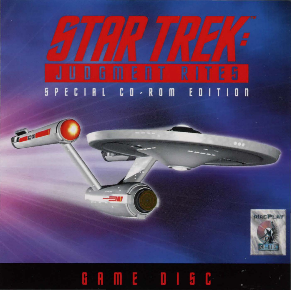

**Community** 

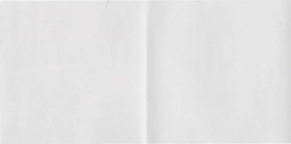